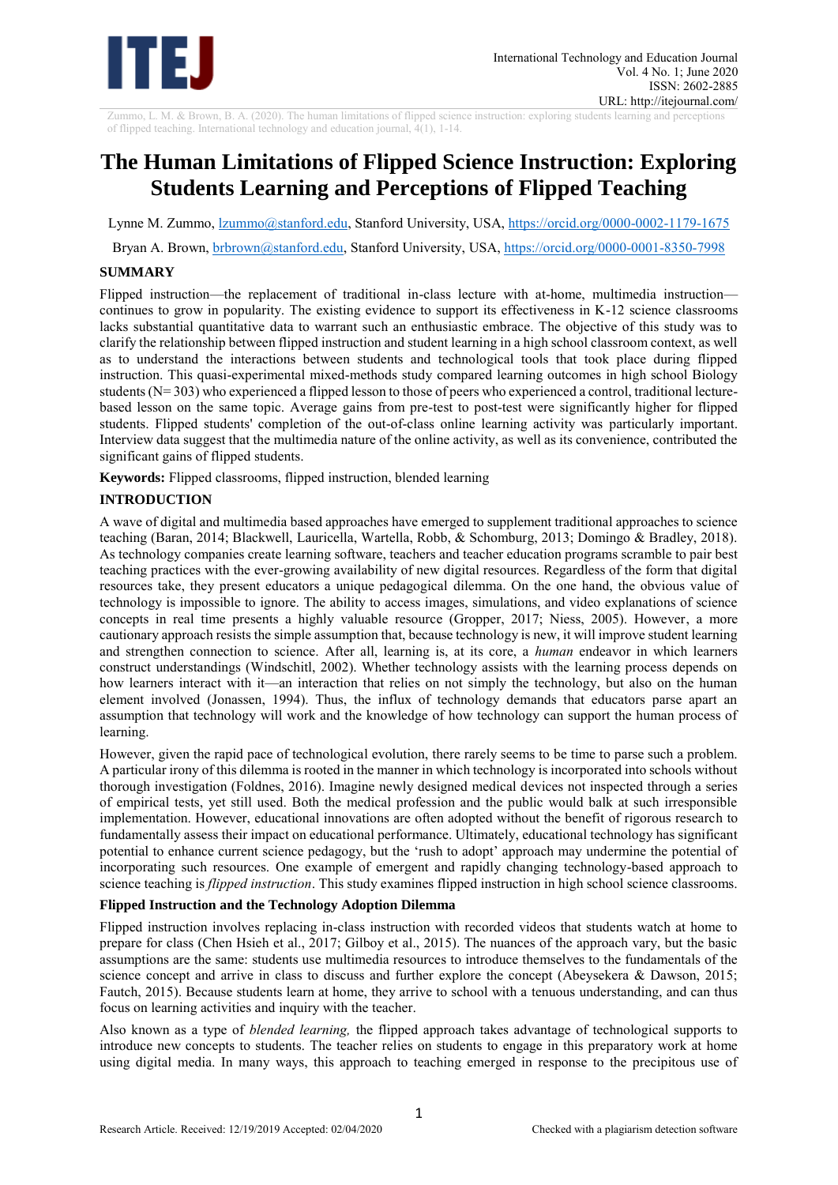

Zummo, L. M. & Brown, B. A. (2020). The human limitations of flipped science instruction: exploring students learning and perceptions of flipped teaching. International technology and education journal, 4(1), 1-14.

# **The Human Limitations of Flipped Science Instruction: Exploring Students Learning and Perceptions of Flipped Teaching**

Lynne M. Zummo,  $\frac{zummo(@)\text{stanford.edu}}{zummo(@)}$ , Stanford University, USA,  $\frac{https}{//orcid.org/0000-0002-1179-1675}$ 

Bryan A. Brown, [brbrown@stanford.edu,](mailto:brbrown@stanford.edu) Stanford University, USA,<https://orcid.org/0000-0001-8350-7998>

## **SUMMARY**

Flipped instruction—the replacement of traditional in-class lecture with at-home, multimedia instruction continues to grow in popularity. The existing evidence to support its effectiveness in K-12 science classrooms lacks substantial quantitative data to warrant such an enthusiastic embrace. The objective of this study was to clarify the relationship between flipped instruction and student learning in a high school classroom context, as well as to understand the interactions between students and technological tools that took place during flipped instruction. This quasi-experimental mixed-methods study compared learning outcomes in high school Biology students (N= 303) who experienced a flipped lesson to those of peers who experienced a control, traditional lecturebased lesson on the same topic. Average gains from pre-test to post-test were significantly higher for flipped students. Flipped students' completion of the out-of-class online learning activity was particularly important. Interview data suggest that the multimedia nature of the online activity, as well as its convenience, contributed the significant gains of flipped students.

**Keywords:** Flipped classrooms, flipped instruction, blended learning

# **INTRODUCTION**

A wave of digital and multimedia based approaches have emerged to supplement traditional approaches to science teaching (Baran, 2014; Blackwell, Lauricella, Wartella, Robb, & Schomburg, 2013; Domingo & Bradley, 2018). As technology companies create learning software, teachers and teacher education programs scramble to pair best teaching practices with the ever-growing availability of new digital resources. Regardless of the form that digital resources take, they present educators a unique pedagogical dilemma. On the one hand, the obvious value of technology is impossible to ignore. The ability to access images, simulations, and video explanations of science concepts in real time presents a highly valuable resource (Gropper, 2017; Niess, 2005). However, a more cautionary approach resists the simple assumption that, because technology is new, it will improve student learning and strengthen connection to science. After all, learning is, at its core, a *human* endeavor in which learners construct understandings (Windschitl, 2002). Whether technology assists with the learning process depends on how learners interact with it—an interaction that relies on not simply the technology, but also on the human element involved (Jonassen, 1994). Thus, the influx of technology demands that educators parse apart an assumption that technology will work and the knowledge of how technology can support the human process of learning.

However, given the rapid pace of technological evolution, there rarely seems to be time to parse such a problem. A particular irony of this dilemma is rooted in the manner in which technology is incorporated into schools without thorough investigation (Foldnes, 2016). Imagine newly designed medical devices not inspected through a series of empirical tests, yet still used. Both the medical profession and the public would balk at such irresponsible implementation. However, educational innovations are often adopted without the benefit of rigorous research to fundamentally assess their impact on educational performance. Ultimately, educational technology has significant potential to enhance current science pedagogy, but the 'rush to adopt' approach may undermine the potential of incorporating such resources. One example of emergent and rapidly changing technology-based approach to science teaching is *flipped instruction*. This study examines flipped instruction in high school science classrooms.

## **Flipped Instruction and the Technology Adoption Dilemma**

Flipped instruction involves replacing in-class instruction with recorded videos that students watch at home to prepare for class (Chen Hsieh et al., 2017; Gilboy et al., 2015). The nuances of the approach vary, but the basic assumptions are the same: students use multimedia resources to introduce themselves to the fundamentals of the science concept and arrive in class to discuss and further explore the concept (Abeysekera & Dawson, 2015; Fautch, 2015). Because students learn at home, they arrive to school with a tenuous understanding, and can thus focus on learning activities and inquiry with the teacher.

Also known as a type of *blended learning,* the flipped approach takes advantage of technological supports to introduce new concepts to students. The teacher relies on students to engage in this preparatory work at home using digital media. In many ways, this approach to teaching emerged in response to the precipitous use of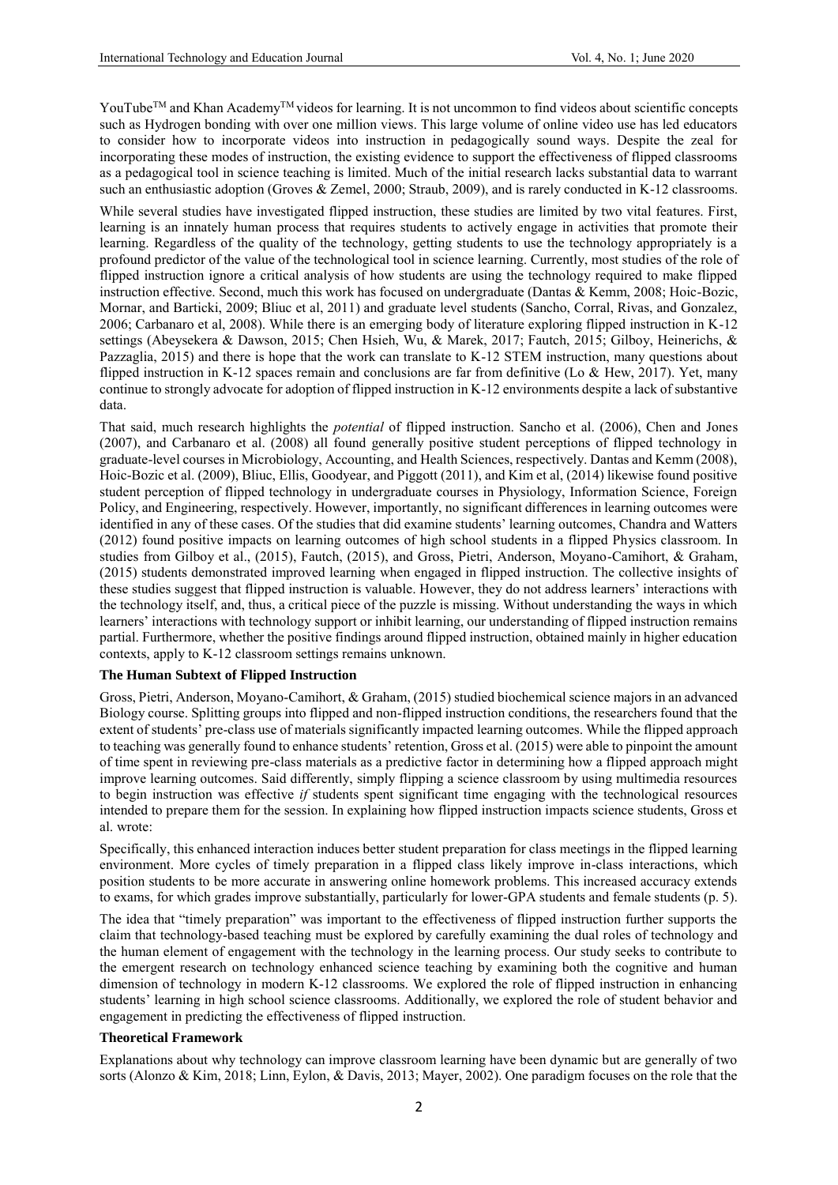YouTube<sup>™</sup> and Khan Academy<sup>™</sup> videos for learning. It is not uncommon to find videos about scientific concepts such as Hydrogen bonding with over one million views. This large volume of online video use has led educators to consider how to incorporate videos into instruction in pedagogically sound ways. Despite the zeal for incorporating these modes of instruction, the existing evidence to support the effectiveness of flipped classrooms as a pedagogical tool in science teaching is limited. Much of the initial research lacks substantial data to warrant such an enthusiastic adoption (Groves & Zemel, 2000; Straub, 2009), and is rarely conducted in K-12 classrooms.

While several studies have investigated flipped instruction, these studies are limited by two vital features. First, learning is an innately human process that requires students to actively engage in activities that promote their learning. Regardless of the quality of the technology, getting students to use the technology appropriately is a profound predictor of the value of the technological tool in science learning. Currently, most studies of the role of flipped instruction ignore a critical analysis of how students are using the technology required to make flipped instruction effective. Second, much this work has focused on undergraduate (Dantas & Kemm, 2008; Hoic-Bozic, Mornar, and Barticki, 2009; Bliuc et al, 2011) and graduate level students (Sancho, Corral, Rivas, and Gonzalez, 2006; Carbanaro et al, 2008). While there is an emerging body of literature exploring flipped instruction in K-12 settings (Abeysekera & Dawson, 2015; Chen Hsieh, Wu, & Marek, 2017; Fautch, 2015; Gilboy, Heinerichs, & Pazzaglia, 2015) and there is hope that the work can translate to K-12 STEM instruction, many questions about flipped instruction in K-12 spaces remain and conclusions are far from definitive (Lo & Hew, 2017). Yet, many continue to strongly advocate for adoption of flipped instruction in K-12 environments despite a lack of substantive data.

That said, much research highlights the *potential* of flipped instruction. Sancho et al. (2006), Chen and Jones (2007), and Carbanaro et al. (2008) all found generally positive student perceptions of flipped technology in graduate-level courses in Microbiology, Accounting, and Health Sciences, respectively. Dantas and Kemm (2008), Hoic-Bozic et al. (2009), Bliuc, Ellis, Goodyear, and Piggott (2011), and Kim et al, (2014) likewise found positive student perception of flipped technology in undergraduate courses in Physiology, Information Science, Foreign Policy, and Engineering, respectively. However, importantly, no significant differences in learning outcomes were identified in any of these cases. Of the studies that did examine students' learning outcomes, Chandra and Watters (2012) found positive impacts on learning outcomes of high school students in a flipped Physics classroom. In studies from Gilboy et al., (2015), Fautch, (2015), and Gross, Pietri, Anderson, Moyano-Camihort, & Graham, (2015) students demonstrated improved learning when engaged in flipped instruction. The collective insights of these studies suggest that flipped instruction is valuable. However, they do not address learners' interactions with the technology itself, and, thus, a critical piece of the puzzle is missing. Without understanding the ways in which learners' interactions with technology support or inhibit learning, our understanding of flipped instruction remains partial. Furthermore, whether the positive findings around flipped instruction, obtained mainly in higher education contexts, apply to K-12 classroom settings remains unknown.

## **The Human Subtext of Flipped Instruction**

Gross, Pietri, Anderson, Moyano-Camihort, & Graham, (2015) studied biochemical science majors in an advanced Biology course. Splitting groups into flipped and non-flipped instruction conditions, the researchers found that the extent of students' pre-class use of materials significantly impacted learning outcomes. While the flipped approach to teaching was generally found to enhance students' retention, Gross et al. (2015) were able to pinpoint the amount of time spent in reviewing pre-class materials as a predictive factor in determining how a flipped approach might improve learning outcomes. Said differently, simply flipping a science classroom by using multimedia resources to begin instruction was effective *if* students spent significant time engaging with the technological resources intended to prepare them for the session. In explaining how flipped instruction impacts science students, Gross et al. wrote:

Specifically, this enhanced interaction induces better student preparation for class meetings in the flipped learning environment. More cycles of timely preparation in a flipped class likely improve in-class interactions, which position students to be more accurate in answering online homework problems. This increased accuracy extends to exams, for which grades improve substantially, particularly for lower-GPA students and female students (p. 5).

The idea that "timely preparation" was important to the effectiveness of flipped instruction further supports the claim that technology-based teaching must be explored by carefully examining the dual roles of technology and the human element of engagement with the technology in the learning process. Our study seeks to contribute to the emergent research on technology enhanced science teaching by examining both the cognitive and human dimension of technology in modern K-12 classrooms. We explored the role of flipped instruction in enhancing students' learning in high school science classrooms. Additionally, we explored the role of student behavior and engagement in predicting the effectiveness of flipped instruction.

#### **Theoretical Framework**

Explanations about why technology can improve classroom learning have been dynamic but are generally of two sorts (Alonzo & Kim, 2018; Linn, Eylon, & Davis, 2013; Mayer, 2002). One paradigm focuses on the role that the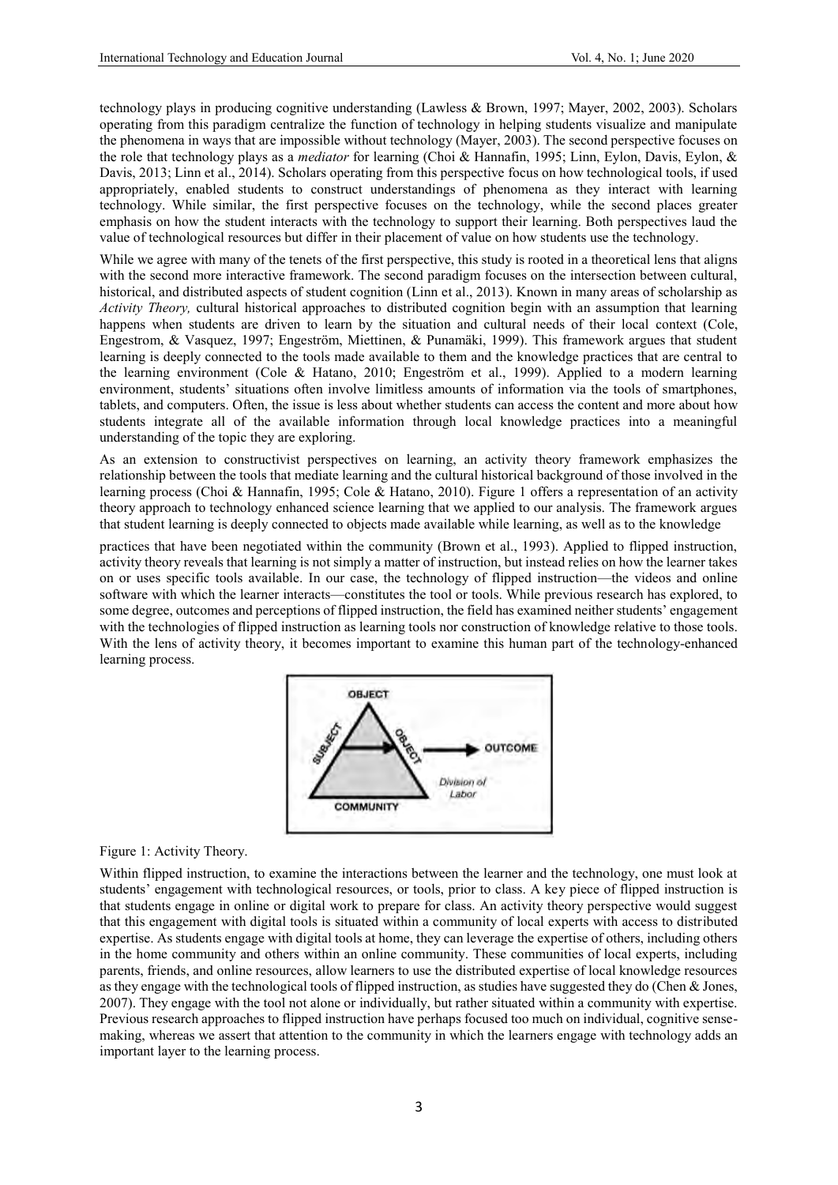technology plays in producing cognitive understanding (Lawless & Brown, 1997; Mayer, 2002, 2003). Scholars operating from this paradigm centralize the function of technology in helping students visualize and manipulate the phenomena in ways that are impossible without technology (Mayer, 2003). The second perspective focuses on the role that technology plays as a *mediator* for learning (Choi & Hannafin, 1995; Linn, Eylon, Davis, Eylon, & Davis, 2013; Linn et al., 2014). Scholars operating from this perspective focus on how technological tools, if used appropriately, enabled students to construct understandings of phenomena as they interact with learning technology. While similar, the first perspective focuses on the technology, while the second places greater emphasis on how the student interacts with the technology to support their learning. Both perspectives laud the value of technological resources but differ in their placement of value on how students use the technology.

While we agree with many of the tenets of the first perspective, this study is rooted in a theoretical lens that aligns with the second more interactive framework. The second paradigm focuses on the intersection between cultural, historical, and distributed aspects of student cognition (Linn et al., 2013). Known in many areas of scholarship as *Activity Theory,* cultural historical approaches to distributed cognition begin with an assumption that learning happens when students are driven to learn by the situation and cultural needs of their local context (Cole, Engestrom, & Vasquez, 1997; Engeström, Miettinen, & Punamäki, 1999). This framework argues that student learning is deeply connected to the tools made available to them and the knowledge practices that are central to the learning environment (Cole & Hatano, 2010; Engeström et al., 1999). Applied to a modern learning environment, students' situations often involve limitless amounts of information via the tools of smartphones, tablets, and computers. Often, the issue is less about whether students can access the content and more about how students integrate all of the available information through local knowledge practices into a meaningful understanding of the topic they are exploring.

As an extension to constructivist perspectives on learning, an activity theory framework emphasizes the relationship between the tools that mediate learning and the cultural historical background of those involved in the learning process (Choi & Hannafin, 1995; Cole & Hatano, 2010). Figure 1 offers a representation of an activity theory approach to technology enhanced science learning that we applied to our analysis. The framework argues that student learning is deeply connected to objects made available while learning, as well as to the knowledge

practices that have been negotiated within the community (Brown et al., 1993). Applied to flipped instruction, activity theory reveals that learning is not simply a matter of instruction, but instead relies on how the learner takes on or uses specific tools available. In our case, the technology of flipped instruction—the videos and online software with which the learner interacts—constitutes the tool or tools. While previous research has explored, to some degree, outcomes and perceptions of flipped instruction, the field has examined neither students' engagement with the technologies of flipped instruction as learning tools nor construction of knowledge relative to those tools. With the lens of activity theory, it becomes important to examine this human part of the technology-enhanced learning process.



## Figure 1: Activity Theory.

Within flipped instruction, to examine the interactions between the learner and the technology, one must look at students' engagement with technological resources, or tools, prior to class. A key piece of flipped instruction is that students engage in online or digital work to prepare for class. An activity theory perspective would suggest that this engagement with digital tools is situated within a community of local experts with access to distributed expertise. As students engage with digital tools at home, they can leverage the expertise of others, including others in the home community and others within an online community. These communities of local experts, including parents, friends, and online resources, allow learners to use the distributed expertise of local knowledge resources as they engage with the technological tools of flipped instruction, as studies have suggested they do (Chen & Jones, 2007). They engage with the tool not alone or individually, but rather situated within a community with expertise. Previous research approaches to flipped instruction have perhaps focused too much on individual, cognitive sensemaking, whereas we assert that attention to the community in which the learners engage with technology adds an important layer to the learning process.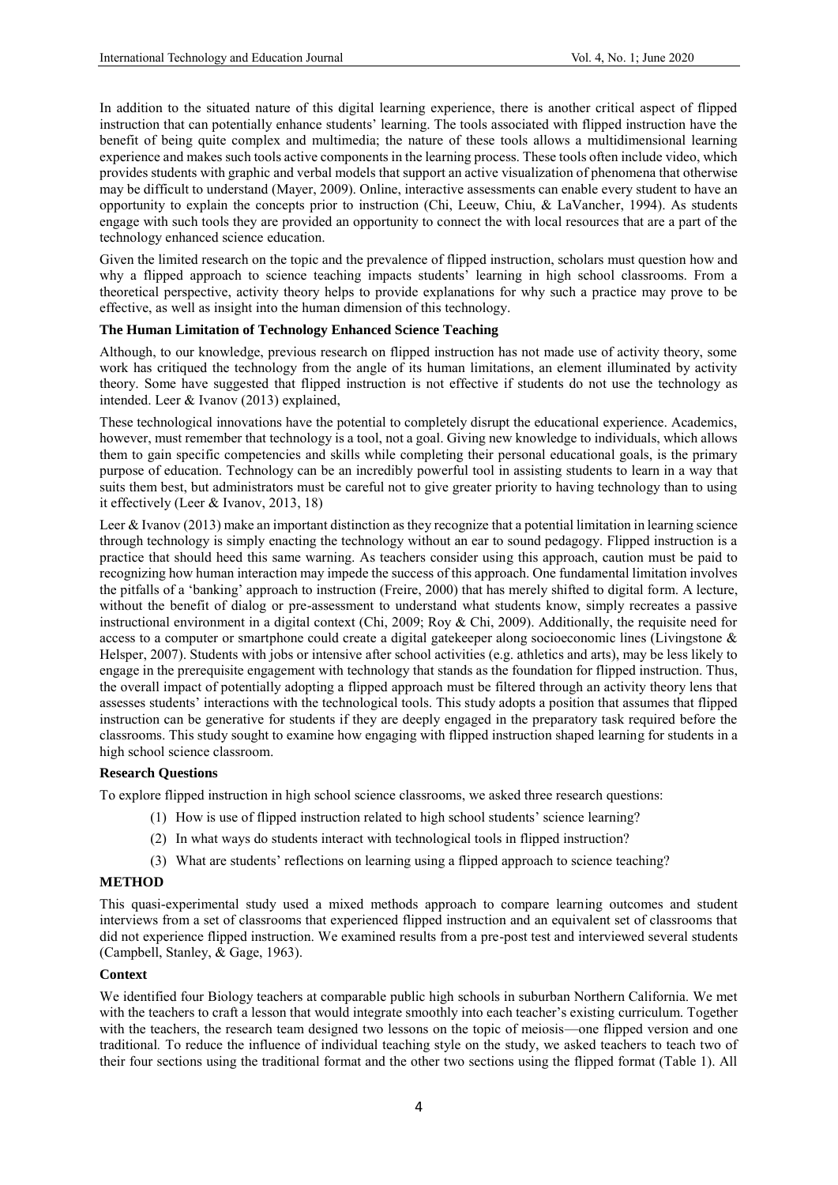In addition to the situated nature of this digital learning experience, there is another critical aspect of flipped instruction that can potentially enhance students' learning. The tools associated with flipped instruction have the benefit of being quite complex and multimedia; the nature of these tools allows a multidimensional learning experience and makes such tools active components in the learning process. These tools often include video, which provides students with graphic and verbal models that support an active visualization of phenomena that otherwise may be difficult to understand (Mayer, 2009). Online, interactive assessments can enable every student to have an opportunity to explain the concepts prior to instruction (Chi, Leeuw, Chiu, & LaVancher, 1994). As students engage with such tools they are provided an opportunity to connect the with local resources that are a part of the technology enhanced science education.

Given the limited research on the topic and the prevalence of flipped instruction, scholars must question how and why a flipped approach to science teaching impacts students' learning in high school classrooms. From a theoretical perspective, activity theory helps to provide explanations for why such a practice may prove to be effective, as well as insight into the human dimension of this technology.

## **The Human Limitation of Technology Enhanced Science Teaching**

Although, to our knowledge, previous research on flipped instruction has not made use of activity theory, some work has critiqued the technology from the angle of its human limitations, an element illuminated by activity theory. Some have suggested that flipped instruction is not effective if students do not use the technology as intended. Leer & Ivanov (2013) explained,

These technological innovations have the potential to completely disrupt the educational experience. Academics, however, must remember that technology is a tool, not a goal. Giving new knowledge to individuals, which allows them to gain specific competencies and skills while completing their personal educational goals, is the primary purpose of education. Technology can be an incredibly powerful tool in assisting students to learn in a way that suits them best, but administrators must be careful not to give greater priority to having technology than to using it effectively (Leer & Ivanov, 2013, 18)

Leer & Ivanov (2013) make an important distinction as they recognize that a potential limitation in learning science through technology is simply enacting the technology without an ear to sound pedagogy. Flipped instruction is a practice that should heed this same warning. As teachers consider using this approach, caution must be paid to recognizing how human interaction may impede the success of this approach. One fundamental limitation involves the pitfalls of a 'banking' approach to instruction (Freire, 2000) that has merely shifted to digital form. A lecture, without the benefit of dialog or pre-assessment to understand what students know, simply recreates a passive instructional environment in a digital context (Chi, 2009; Roy & Chi, 2009). Additionally, the requisite need for access to a computer or smartphone could create a digital gatekeeper along socioeconomic lines (Livingstone & Helsper, 2007). Students with jobs or intensive after school activities (e.g. athletics and arts), may be less likely to engage in the prerequisite engagement with technology that stands as the foundation for flipped instruction. Thus, the overall impact of potentially adopting a flipped approach must be filtered through an activity theory lens that assesses students' interactions with the technological tools. This study adopts a position that assumes that flipped instruction can be generative for students if they are deeply engaged in the preparatory task required before the classrooms. This study sought to examine how engaging with flipped instruction shaped learning for students in a high school science classroom.

## **Research Questions**

To explore flipped instruction in high school science classrooms, we asked three research questions:

- (1) How is use of flipped instruction related to high school students' science learning?
- (2) In what ways do students interact with technological tools in flipped instruction?
- (3) What are students' reflections on learning using a flipped approach to science teaching?

## **METHOD**

This quasi-experimental study used a mixed methods approach to compare learning outcomes and student interviews from a set of classrooms that experienced flipped instruction and an equivalent set of classrooms that did not experience flipped instruction. We examined results from a pre-post test and interviewed several students (Campbell, Stanley, & Gage, 1963).

## **Context**

We identified four Biology teachers at comparable public high schools in suburban Northern California. We met with the teachers to craft a lesson that would integrate smoothly into each teacher's existing curriculum. Together with the teachers, the research team designed two lessons on the topic of meiosis—one flipped version and one traditional*.* To reduce the influence of individual teaching style on the study, we asked teachers to teach two of their four sections using the traditional format and the other two sections using the flipped format (Table 1). All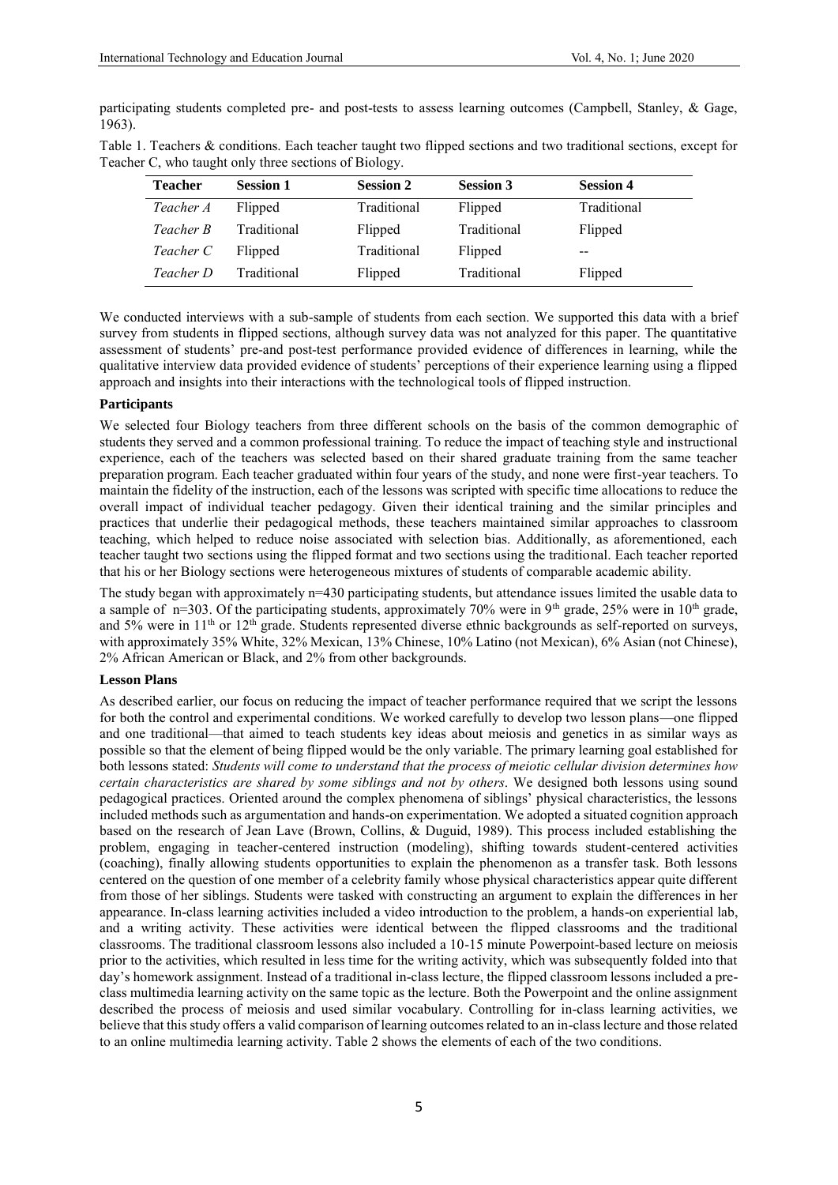participating students completed pre- and post-tests to assess learning outcomes (Campbell, Stanley, & Gage, 1963).

| <b>Teacher</b> | <b>Session 1</b> | <b>Session 2</b> | <b>Session 3</b> | <b>Session 4</b> |
|----------------|------------------|------------------|------------------|------------------|
| Teacher A      | Flipped          | Traditional      | Flipped          | Traditional      |
| Teacher B      | Traditional      | Flipped          | Traditional      | Flipped          |
| Teacher C      | Flipped          | Traditional      | Flipped          | --               |
| Teacher D      | Traditional      | Flipped          | Traditional      | Flipped          |

Table 1. Teachers & conditions. Each teacher taught two flipped sections and two traditional sections, except for Teacher C, who taught only three sections of Biology.

We conducted interviews with a sub-sample of students from each section. We supported this data with a brief survey from students in flipped sections, although survey data was not analyzed for this paper. The quantitative assessment of students' pre-and post-test performance provided evidence of differences in learning, while the qualitative interview data provided evidence of students' perceptions of their experience learning using a flipped approach and insights into their interactions with the technological tools of flipped instruction.

## **Participants**

We selected four Biology teachers from three different schools on the basis of the common demographic of students they served and a common professional training. To reduce the impact of teaching style and instructional experience, each of the teachers was selected based on their shared graduate training from the same teacher preparation program. Each teacher graduated within four years of the study, and none were first-year teachers. To maintain the fidelity of the instruction, each of the lessons was scripted with specific time allocations to reduce the overall impact of individual teacher pedagogy. Given their identical training and the similar principles and practices that underlie their pedagogical methods, these teachers maintained similar approaches to classroom teaching, which helped to reduce noise associated with selection bias. Additionally, as aforementioned, each teacher taught two sections using the flipped format and two sections using the traditional. Each teacher reported that his or her Biology sections were heterogeneous mixtures of students of comparable academic ability.

The study began with approximately n=430 participating students, but attendance issues limited the usable data to a sample of  $n=303$ . Of the participating students, approximately 70% were in 9<sup>th</sup> grade, 25% were in 10<sup>th</sup> grade, and 5% were in 11<sup>th</sup> or 12<sup>th</sup> grade. Students represented diverse ethnic backgrounds as self-reported on surveys, with approximately 35% White, 32% Mexican, 13% Chinese, 10% Latino (not Mexican), 6% Asian (not Chinese), 2% African American or Black, and 2% from other backgrounds.

#### **Lesson Plans**

As described earlier, our focus on reducing the impact of teacher performance required that we script the lessons for both the control and experimental conditions. We worked carefully to develop two lesson plans—one flipped and one traditional—that aimed to teach students key ideas about meiosis and genetics in as similar ways as possible so that the element of being flipped would be the only variable. The primary learning goal established for both lessons stated: *Students will come to understand that the process of meiotic cellular division determines how certain characteristics are shared by some siblings and not by others*. We designed both lessons using sound pedagogical practices. Oriented around the complex phenomena of siblings' physical characteristics, the lessons included methods such as argumentation and hands-on experimentation. We adopted a situated cognition approach based on the research of Jean Lave (Brown, Collins, & Duguid, 1989). This process included establishing the problem, engaging in teacher-centered instruction (modeling), shifting towards student-centered activities (coaching), finally allowing students opportunities to explain the phenomenon as a transfer task. Both lessons centered on the question of one member of a celebrity family whose physical characteristics appear quite different from those of her siblings. Students were tasked with constructing an argument to explain the differences in her appearance. In-class learning activities included a video introduction to the problem, a hands-on experiential lab, and a writing activity. These activities were identical between the flipped classrooms and the traditional classrooms. The traditional classroom lessons also included a 10-15 minute Powerpoint-based lecture on meiosis prior to the activities, which resulted in less time for the writing activity, which was subsequently folded into that day's homework assignment. Instead of a traditional in-class lecture, the flipped classroom lessons included a preclass multimedia learning activity on the same topic as the lecture. Both the Powerpoint and the online assignment described the process of meiosis and used similar vocabulary. Controlling for in-class learning activities, we believe that this study offers a valid comparison of learning outcomes related to an in-class lecture and those related to an online multimedia learning activity. Table 2 shows the elements of each of the two conditions.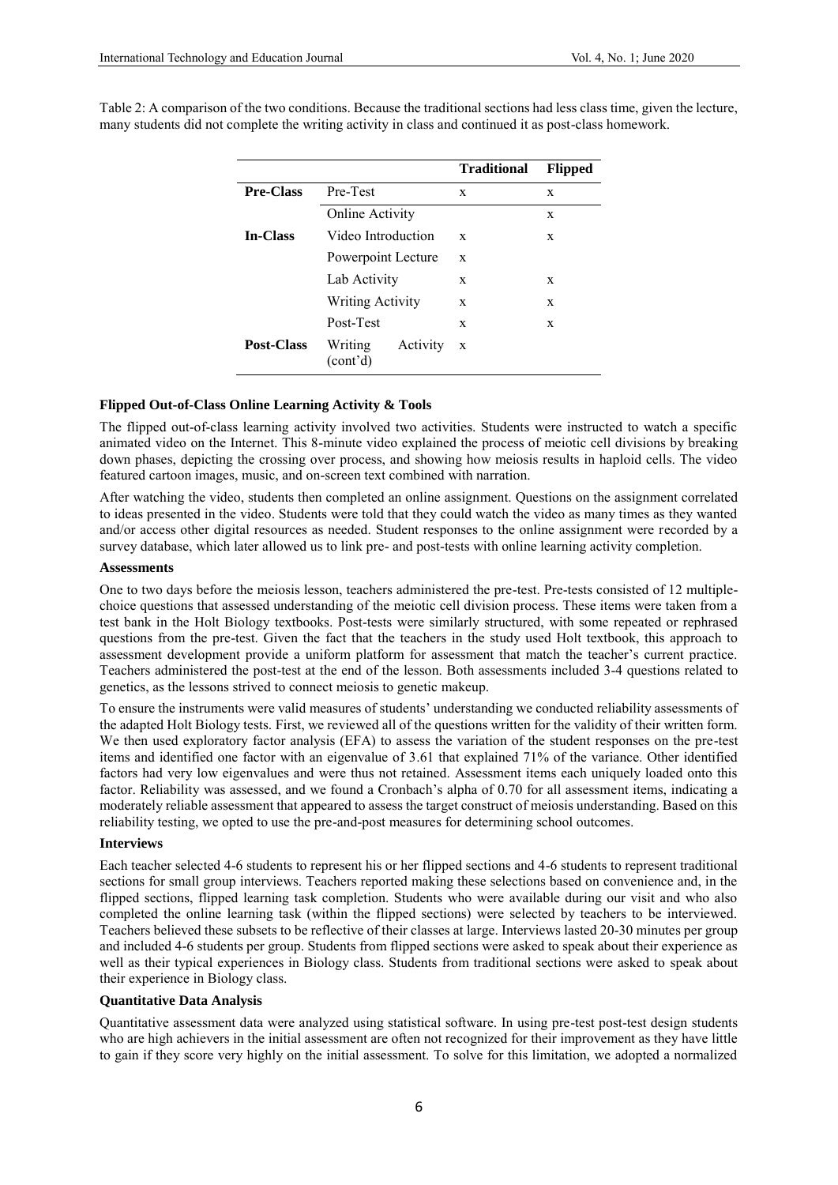|                   |                                              | <b>Traditional</b> | <b>Flipped</b> |
|-------------------|----------------------------------------------|--------------------|----------------|
| <b>Pre-Class</b>  | Pre-Test                                     | X                  | X              |
|                   | <b>Online Activity</b>                       |                    | X              |
| <b>In-Class</b>   | Video Introduction                           | X                  | X              |
|                   | Powerpoint Lecture                           | X                  |                |
|                   | Lab Activity                                 | X                  | X              |
|                   | <b>Writing Activity</b>                      | X                  | X              |
|                   | Post-Test                                    | X                  | X              |
| <b>Post-Class</b> | Writing<br>Activity<br>(cont <sup>2</sup> d) | X                  |                |

Table 2: A comparison of the two conditions. Because the traditional sections had less class time, given the lecture, many students did not complete the writing activity in class and continued it as post-class homework.

## **Flipped Out-of-Class Online Learning Activity & Tools**

The flipped out-of-class learning activity involved two activities. Students were instructed to watch a specific animated video on the Internet. This 8-minute video explained the process of meiotic cell divisions by breaking down phases, depicting the crossing over process, and showing how meiosis results in haploid cells. The video featured cartoon images, music, and on-screen text combined with narration.

After watching the video, students then completed an online assignment. Questions on the assignment correlated to ideas presented in the video. Students were told that they could watch the video as many times as they wanted and/or access other digital resources as needed. Student responses to the online assignment were recorded by a survey database, which later allowed us to link pre- and post-tests with online learning activity completion.

#### **Assessments**

One to two days before the meiosis lesson, teachers administered the pre-test. Pre-tests consisted of 12 multiplechoice questions that assessed understanding of the meiotic cell division process. These items were taken from a test bank in the Holt Biology textbooks. Post-tests were similarly structured, with some repeated or rephrased questions from the pre-test. Given the fact that the teachers in the study used Holt textbook, this approach to assessment development provide a uniform platform for assessment that match the teacher's current practice. Teachers administered the post-test at the end of the lesson. Both assessments included 3-4 questions related to genetics, as the lessons strived to connect meiosis to genetic makeup.

To ensure the instruments were valid measures of students' understanding we conducted reliability assessments of the adapted Holt Biology tests. First, we reviewed all of the questions written for the validity of their written form. We then used exploratory factor analysis (EFA) to assess the variation of the student responses on the pre-test items and identified one factor with an eigenvalue of 3.61 that explained 71% of the variance. Other identified factors had very low eigenvalues and were thus not retained. Assessment items each uniquely loaded onto this factor. Reliability was assessed, and we found a Cronbach's alpha of 0.70 for all assessment items, indicating a moderately reliable assessment that appeared to assess the target construct of meiosis understanding. Based on this reliability testing, we opted to use the pre-and-post measures for determining school outcomes.

#### **Interviews**

Each teacher selected 4-6 students to represent his or her flipped sections and 4-6 students to represent traditional sections for small group interviews. Teachers reported making these selections based on convenience and, in the flipped sections, flipped learning task completion. Students who were available during our visit and who also completed the online learning task (within the flipped sections) were selected by teachers to be interviewed. Teachers believed these subsets to be reflective of their classes at large. Interviews lasted 20-30 minutes per group and included 4-6 students per group. Students from flipped sections were asked to speak about their experience as well as their typical experiences in Biology class. Students from traditional sections were asked to speak about their experience in Biology class.

## **Quantitative Data Analysis**

Quantitative assessment data were analyzed using statistical software. In using pre-test post-test design students who are high achievers in the initial assessment are often not recognized for their improvement as they have little to gain if they score very highly on the initial assessment. To solve for this limitation, we adopted a normalized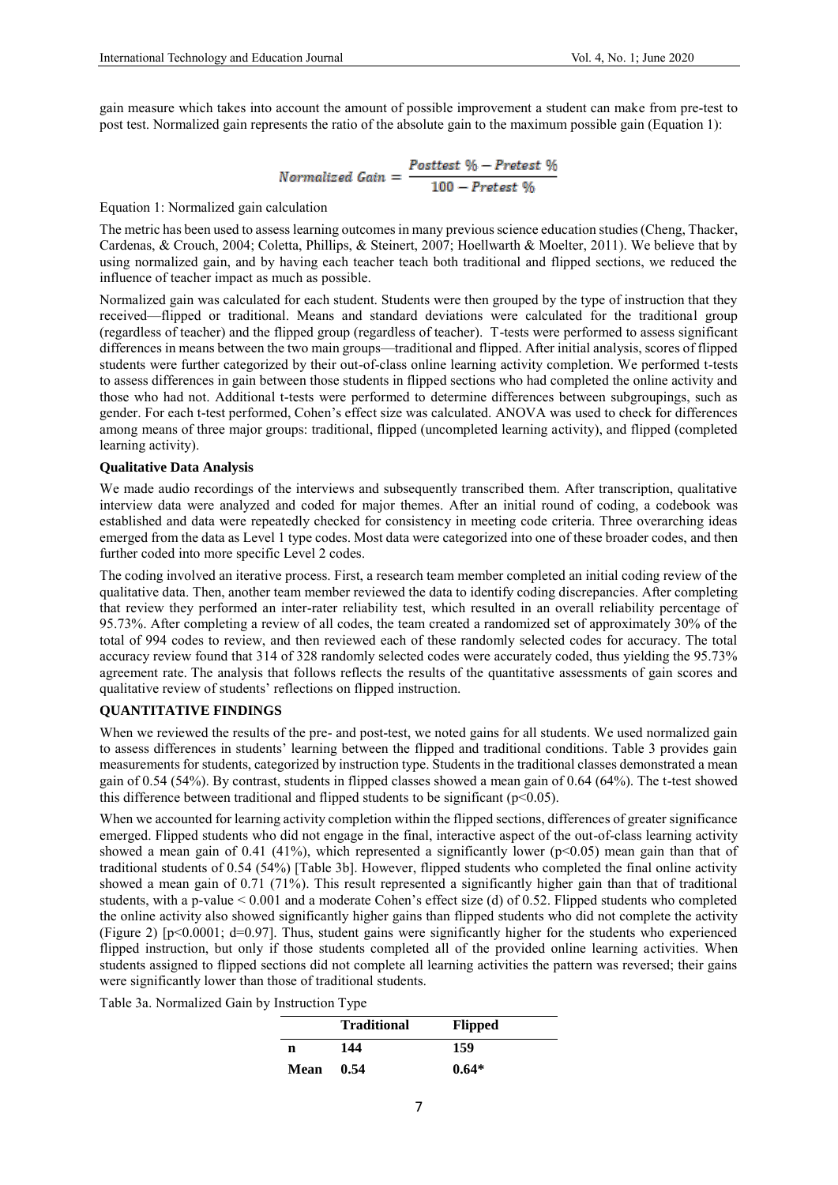gain measure which takes into account the amount of possible improvement a student can make from pre-test to post test. Normalized gain represents the ratio of the absolute gain to the maximum possible gain (Equation 1):

$$
Normalized\ Gain = \frac{Posttest\ \%\ - Pretest\ \%\ }{100 - Pretest\ \%\ }
$$

Equation 1: Normalized gain calculation

The metric has been used to assess learning outcomes in many previous science education studies (Cheng, Thacker, Cardenas, & Crouch, 2004; Coletta, Phillips, & Steinert, 2007; Hoellwarth & Moelter, 2011). We believe that by using normalized gain, and by having each teacher teach both traditional and flipped sections, we reduced the influence of teacher impact as much as possible.

Normalized gain was calculated for each student. Students were then grouped by the type of instruction that they received—flipped or traditional. Means and standard deviations were calculated for the traditional group (regardless of teacher) and the flipped group (regardless of teacher). T-tests were performed to assess significant differences in means between the two main groups—traditional and flipped. After initial analysis, scores of flipped students were further categorized by their out-of-class online learning activity completion. We performed t-tests to assess differences in gain between those students in flipped sections who had completed the online activity and those who had not. Additional t-tests were performed to determine differences between subgroupings, such as gender. For each t-test performed, Cohen's effect size was calculated. ANOVA was used to check for differences among means of three major groups: traditional, flipped (uncompleted learning activity), and flipped (completed learning activity).

### **Qualitative Data Analysis**

We made audio recordings of the interviews and subsequently transcribed them. After transcription, qualitative interview data were analyzed and coded for major themes. After an initial round of coding, a codebook was established and data were repeatedly checked for consistency in meeting code criteria. Three overarching ideas emerged from the data as Level 1 type codes. Most data were categorized into one of these broader codes, and then further coded into more specific Level 2 codes.

The coding involved an iterative process. First, a research team member completed an initial coding review of the qualitative data. Then, another team member reviewed the data to identify coding discrepancies. After completing that review they performed an inter-rater reliability test, which resulted in an overall reliability percentage of 95.73%. After completing a review of all codes, the team created a randomized set of approximately 30% of the total of 994 codes to review, and then reviewed each of these randomly selected codes for accuracy. The total accuracy review found that 314 of 328 randomly selected codes were accurately coded, thus yielding the 95.73% agreement rate. The analysis that follows reflects the results of the quantitative assessments of gain scores and qualitative review of students' reflections on flipped instruction.

## **QUANTITATIVE FINDINGS**

When we reviewed the results of the pre- and post-test, we noted gains for all students. We used normalized gain to assess differences in students' learning between the flipped and traditional conditions. Table 3 provides gain measurements for students, categorized by instruction type. Students in the traditional classes demonstrated a mean gain of 0.54 (54%). By contrast, students in flipped classes showed a mean gain of 0.64 (64%). The t-test showed this difference between traditional and flipped students to be significant ( $p<0.05$ ).

When we accounted for learning activity completion within the flipped sections, differences of greater significance emerged. Flipped students who did not engage in the final, interactive aspect of the out-of-class learning activity showed a mean gain of 0.41 (41%), which represented a significantly lower ( $p<0.05$ ) mean gain than that of traditional students of 0.54 (54%) [Table 3b]. However, flipped students who completed the final online activity showed a mean gain of 0.71 (71%). This result represented a significantly higher gain than that of traditional students, with a p-value < 0.001 and a moderate Cohen's effect size (d) of 0.52. Flipped students who completed the online activity also showed significantly higher gains than flipped students who did not complete the activity (Figure 2)  $[p<0.0001; d=0.97]$ . Thus, student gains were significantly higher for the students who experienced flipped instruction, but only if those students completed all of the provided online learning activities. When students assigned to flipped sections did not complete all learning activities the pattern was reversed; their gains were significantly lower than those of traditional students.

Table 3a. Normalized Gain by Instruction Type

|             | <b>Traditional</b> | <b>Flipped</b> |  |
|-------------|--------------------|----------------|--|
| n           | 144                | 159            |  |
| <b>Mean</b> | 0.54               | $0.64*$        |  |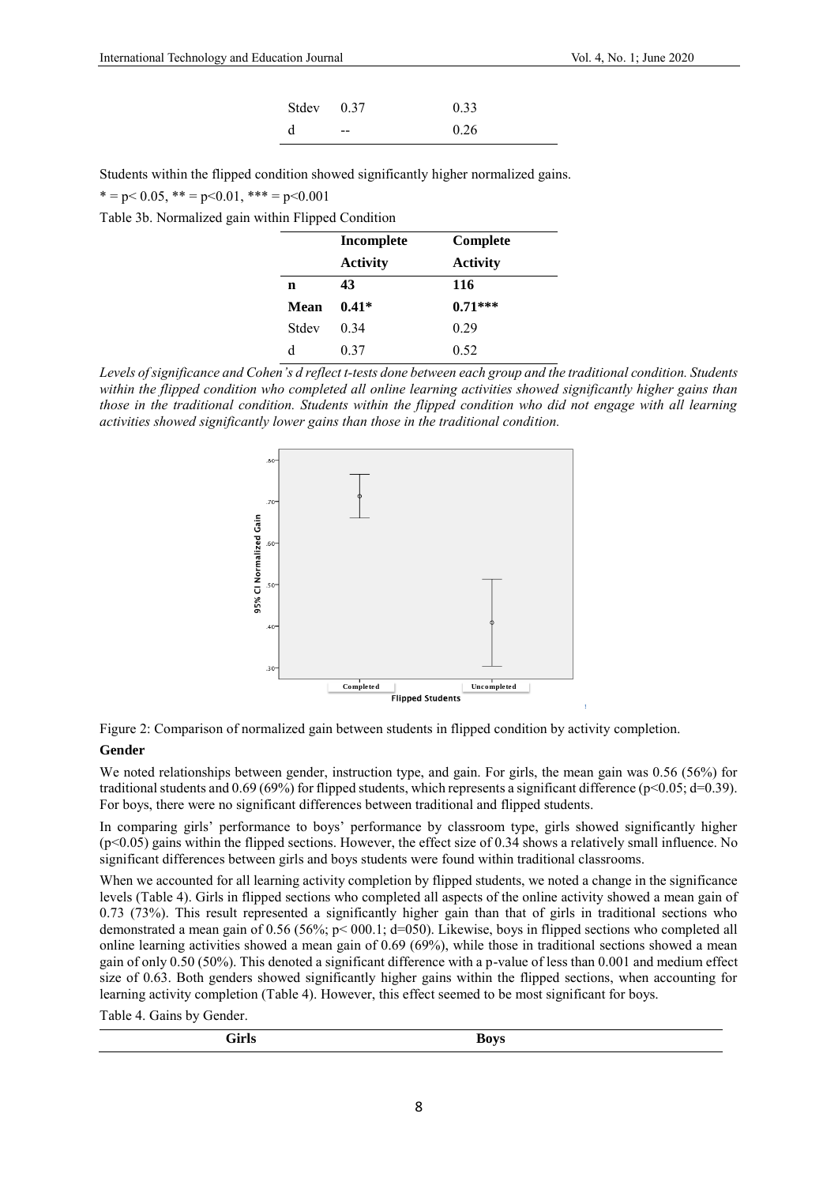| Stdev 0.37 |                      | 0.33 |
|------------|----------------------|------|
| d          | <b>Service State</b> | 0.26 |

Students within the flipped condition showed significantly higher normalized gains.

 $* = p < 0.05, ** = p < 0.01,*** = p < 0.001$ 

Table 3b. Normalized gain within Flipped Condition

|             | Incomplete      | Complete        |
|-------------|-----------------|-----------------|
|             | <b>Activity</b> | <b>Activity</b> |
| $\mathbf n$ | 43              | 116             |
| Mean        | $0.41*$         | $0.71***$       |
| Stdev       | 0.34            | 0.29            |
| d           | 0.37            | 0.52            |

 $\frac{d}{d}$  0.37  $\frac{0.52}{d}$  D.52 Levels of significance and Cohen's d reflect t-tests done between each group and the traditional condition. Students within the flipped condition who completed all online learning activities showed significantly higher gains than those in the traditional condition. Students within the flipped condition who did not engage with all learning activities showed significantly lower gains than those in the traditional condition.





#### **Gender**

We noted relationships between gender, instruction type, and gain. For girls, the mean gain was 0.56 (56%) for traditional students and  $0.69$  (69%) for flipped students, which represents a significant difference (p<0.05; d=0.39). For boys, there were no significant differences between traditional and flipped students.

In comparing girls' performance to boys' performance by classroom type, girls showed significantly higher (p<0.05) gains within the flipped sections. However, the effect size of 0.34 shows a relatively small influence. No significant differences between girls and boys students were found within traditional classrooms.

When we accounted for all learning activity completion by flipped students, we noted a change in the significance levels (Table 4). Girls in flipped sections who completed all aspects of the online activity showed a mean gain of 0.73 (73%). This result represented a significantly higher gain than that of girls in traditional sections who demonstrated a mean gain of 0.56 (56%; p< 000.1; d=050). Likewise, boys in flipped sections who completed all online learning activities showed a mean gain of 0.69 (69%), while those in traditional sections showed a mean gain of only 0.50 (50%). This denoted a significant difference with a p-value of less than 0.001 and medium effect size of 0.63. Both genders showed significantly higher gains within the flipped sections, when accounting for learning activity completion (Table 4). However, this effect seemed to be most significant for boys.

Table 4. Gains by Gender.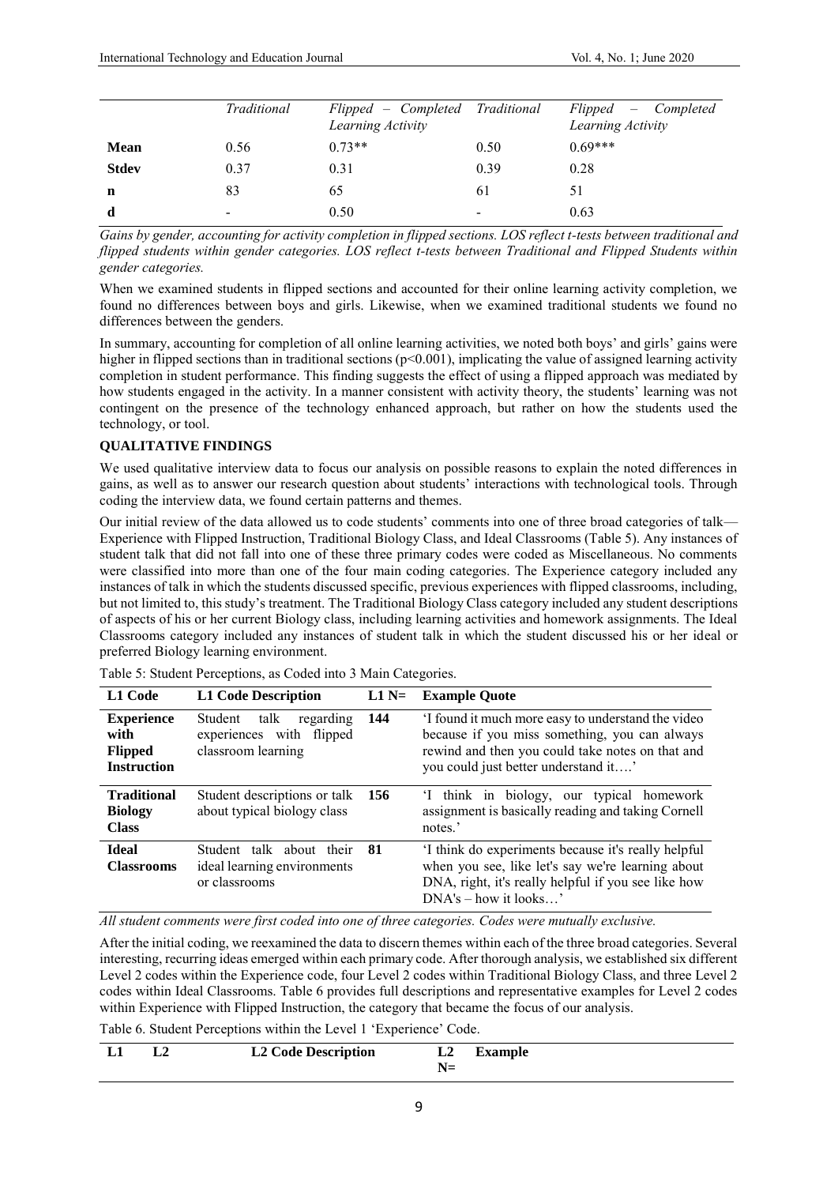|              | Traditional              | Flipped – Completed Traditional<br>Learning Activity |                          | Flipped – Completed<br>Learning Activity |
|--------------|--------------------------|------------------------------------------------------|--------------------------|------------------------------------------|
| <b>Mean</b>  | 0.56                     | $0.73**$                                             | 0.50                     | $0.69***$                                |
| <b>Stdev</b> | 0.37                     | 0.31                                                 | 0.39                     | 0.28                                     |
| n            | 83                       | 65                                                   | 61                       | 51                                       |
| d            | $\overline{\phantom{0}}$ | 0.50                                                 | $\overline{\phantom{0}}$ | 0.63                                     |

*Gains by gender, accounting for activity completion in flipped sections. LOS reflect t-tests between traditional and flipped students within gender categories. LOS reflect t-tests between Traditional and Flipped Students within gender categories.* 

When we examined students in flipped sections and accounted for their online learning activity completion, we found no differences between boys and girls. Likewise, when we examined traditional students we found no differences between the genders.

In summary, accounting for completion of all online learning activities, we noted both boys' and girls' gains were higher in flipped sections than in traditional sections ( $p<0.001$ ), implicating the value of assigned learning activity completion in student performance. This finding suggests the effect of using a flipped approach was mediated by how students engaged in the activity. In a manner consistent with activity theory, the students' learning was not contingent on the presence of the technology enhanced approach, but rather on how the students used the technology, or tool.

## **QUALITATIVE FINDINGS**

We used qualitative interview data to focus our analysis on possible reasons to explain the noted differences in gains, as well as to answer our research question about students' interactions with technological tools. Through coding the interview data, we found certain patterns and themes.

Our initial review of the data allowed us to code students' comments into one of three broad categories of talk— Experience with Flipped Instruction, Traditional Biology Class, and Ideal Classrooms (Table 5). Any instances of student talk that did not fall into one of these three primary codes were coded as Miscellaneous. No comments were classified into more than one of the four main coding categories. The Experience category included any instances of talk in which the students discussed specific, previous experiences with flipped classrooms, including, but not limited to, this study's treatment. The Traditional Biology Class category included any student descriptions of aspects of his or her current Biology class, including learning activities and homework assignments. The Ideal Classrooms category included any instances of student talk in which the student discussed his or her ideal or preferred Biology learning environment.

| L1 Code                                                           | <b>L1 Code Description</b>                                                     | $L1 N=$ | <b>Example Quote</b>                                                                                                                                                                           |
|-------------------------------------------------------------------|--------------------------------------------------------------------------------|---------|------------------------------------------------------------------------------------------------------------------------------------------------------------------------------------------------|
| <b>Experience</b><br>with<br><b>Flipped</b><br><b>Instruction</b> | talk<br>Student<br>regarding<br>experiences with flipped<br>classroom learning | 144     | I found it much more easy to understand the video<br>because if you miss something, you can always<br>rewind and then you could take notes on that and<br>you could just better understand it' |
| <b>Traditional</b><br><b>Biology</b><br><b>Class</b>              | Student descriptions or talk<br>about typical biology class                    | - 156   | I think in biology, our typical homework<br>assignment is basically reading and taking Cornell<br>notes.'                                                                                      |
| <b>Ideal</b><br><b>Classrooms</b>                                 | Student talk about their<br>ideal learning environments<br>or classrooms       | - 81    | I think do experiments because it's really helpful<br>when you see, like let's say we're learning about<br>DNA, right, it's really helpful if you see like how<br>$DNA's - how it looks$       |

Table 5: Student Perceptions, as Coded into 3 Main Categories.

*All student comments were first coded into one of three categories. Codes were mutually exclusive.*

After the initial coding, we reexamined the data to discern themes within each of the three broad categories. Several interesting, recurring ideas emerged within each primary code. After thorough analysis, we established six different Level 2 codes within the Experience code, four Level 2 codes within Traditional Biology Class, and three Level 2 codes within Ideal Classrooms. Table 6 provides full descriptions and representative examples for Level 2 codes within Experience with Flipped Instruction, the category that became the focus of our analysis.

Table 6. Student Perceptions within the Level 1 'Experience' Code.

| - L1 | <b>L2 Code Description</b> | L2 | <b>Example</b> |  |
|------|----------------------------|----|----------------|--|
|      |                            |    |                |  |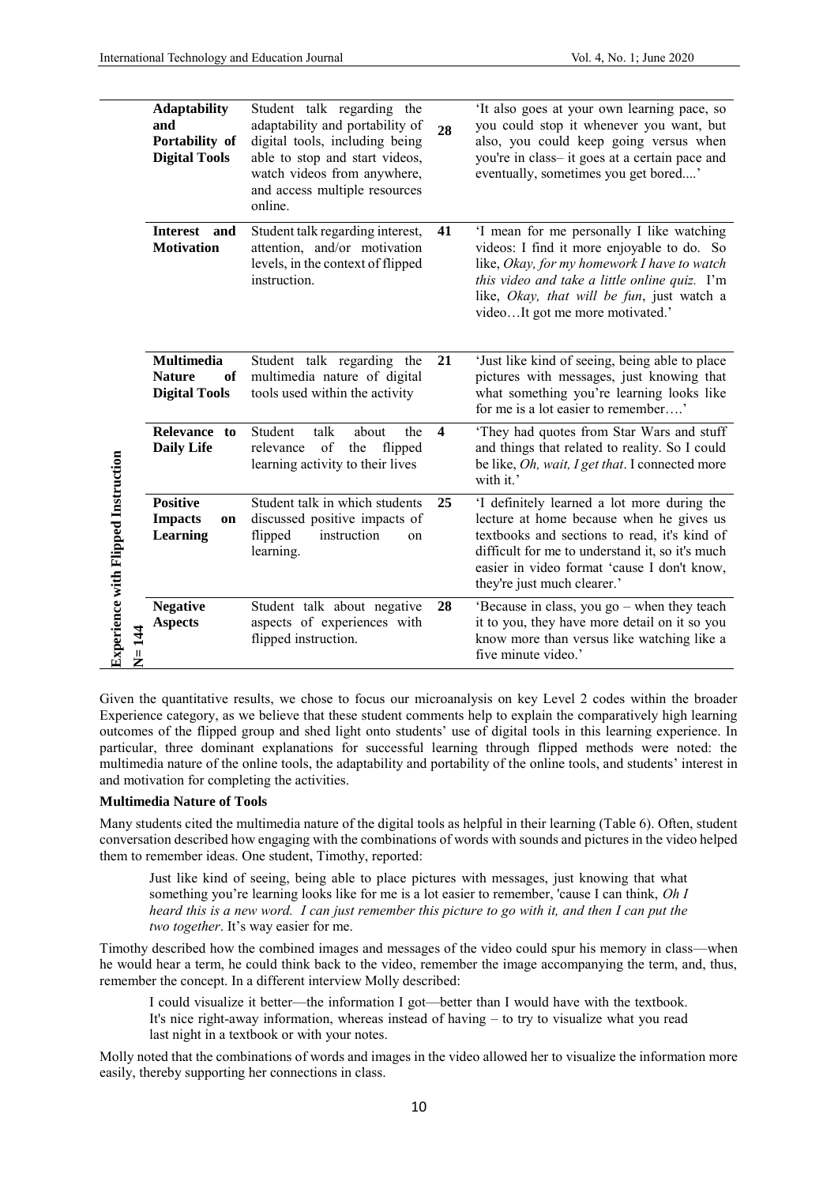|                                            | <b>Adaptability</b><br>and<br>Portability of<br><b>Digital Tools</b> | Student talk regarding the<br>adaptability and portability of<br>digital tools, including being<br>able to stop and start videos,<br>watch videos from anywhere,<br>and access multiple resources<br>online. | 28                      | It also goes at your own learning pace, so<br>you could stop it whenever you want, but<br>also, you could keep going versus when<br>you're in class-it goes at a certain pace and<br>eventually, sometimes you get bored'                                                |
|--------------------------------------------|----------------------------------------------------------------------|--------------------------------------------------------------------------------------------------------------------------------------------------------------------------------------------------------------|-------------------------|--------------------------------------------------------------------------------------------------------------------------------------------------------------------------------------------------------------------------------------------------------------------------|
|                                            | <b>Interest</b><br>and<br><b>Motivation</b>                          | Student talk regarding interest,<br>attention, and/or motivation<br>levels, in the context of flipped<br>instruction.                                                                                        | 41                      | 'I mean for me personally I like watching<br>videos: I find it more enjoyable to do. So<br>like, Okay, for my homework I have to watch<br>this video and take a little online quiz. I'm<br>like, Okay, that will be fun, just watch a<br>videoIt got me more motivated.' |
|                                            | <b>Multimedia</b><br><b>Nature</b><br>of<br><b>Digital Tools</b>     | Student talk regarding the<br>multimedia nature of digital<br>tools used within the activity                                                                                                                 | 21                      | 'Just like kind of seeing, being able to place<br>pictures with messages, just knowing that<br>what something you're learning looks like<br>for me is a lot easier to remember'                                                                                          |
| <b>Experience with Flipped Instruction</b> | Relevance to<br><b>Daily Life</b>                                    | Student<br>talk<br>about<br>the<br>of the flipped<br>relevance<br>learning activity to their lives                                                                                                           | $\overline{\mathbf{4}}$ | 'They had quotes from Star Wars and stuff<br>and things that related to reality. So I could<br>be like, Oh, wait, I get that. I connected more<br>with it.'                                                                                                              |
|                                            | <b>Positive</b><br><b>Impacts</b><br>on<br>Learning                  | Student talk in which students<br>discussed positive impacts of<br>flipped<br>instruction<br>on<br>learning.                                                                                                 | 25                      | 'I definitely learned a lot more during the<br>lecture at home because when he gives us<br>textbooks and sections to read, it's kind of<br>difficult for me to understand it, so it's much<br>easier in video format 'cause I don't know,<br>they're just much clearer.' |
|                                            | <b>Negative</b><br><b>Aspects</b><br>N=144                           | Student talk about negative<br>aspects of experiences with<br>flipped instruction.                                                                                                                           | 28                      | 'Because in class, you go - when they teach<br>it to you, they have more detail on it so you<br>know more than versus like watching like a<br>five minute video.'                                                                                                        |

Given the quantitative results, we chose to focus our microanalysis on key Level 2 codes within the broader Experience category, as we believe that these student comments help to explain the comparatively high learning outcomes of the flipped group and shed light onto students' use of digital tools in this learning experience. In particular, three dominant explanations for successful learning through flipped methods were noted: the multimedia nature of the online tools, the adaptability and portability of the online tools, and students' interest in and motivation for completing the activities.

## **Multimedia Nature of Tools**

Many students cited the multimedia nature of the digital tools as helpful in their learning (Table 6). Often, student conversation described how engaging with the combinations of words with sounds and pictures in the video helped them to remember ideas. One student, Timothy, reported:

Just like kind of seeing, being able to place pictures with messages, just knowing that what something you're learning looks like for me is a lot easier to remember, 'cause I can think, *Oh I heard this is a new word. I can just remember this picture to go with it, and then I can put the two together*. It's way easier for me.

Timothy described how the combined images and messages of the video could spur his memory in class—when he would hear a term, he could think back to the video, remember the image accompanying the term, and, thus, remember the concept. In a different interview Molly described:

I could visualize it better—the information I got—better than I would have with the textbook. It's nice right-away information, whereas instead of having – to try to visualize what you read last night in a textbook or with your notes.

Molly noted that the combinations of words and images in the video allowed her to visualize the information more easily, thereby supporting her connections in class.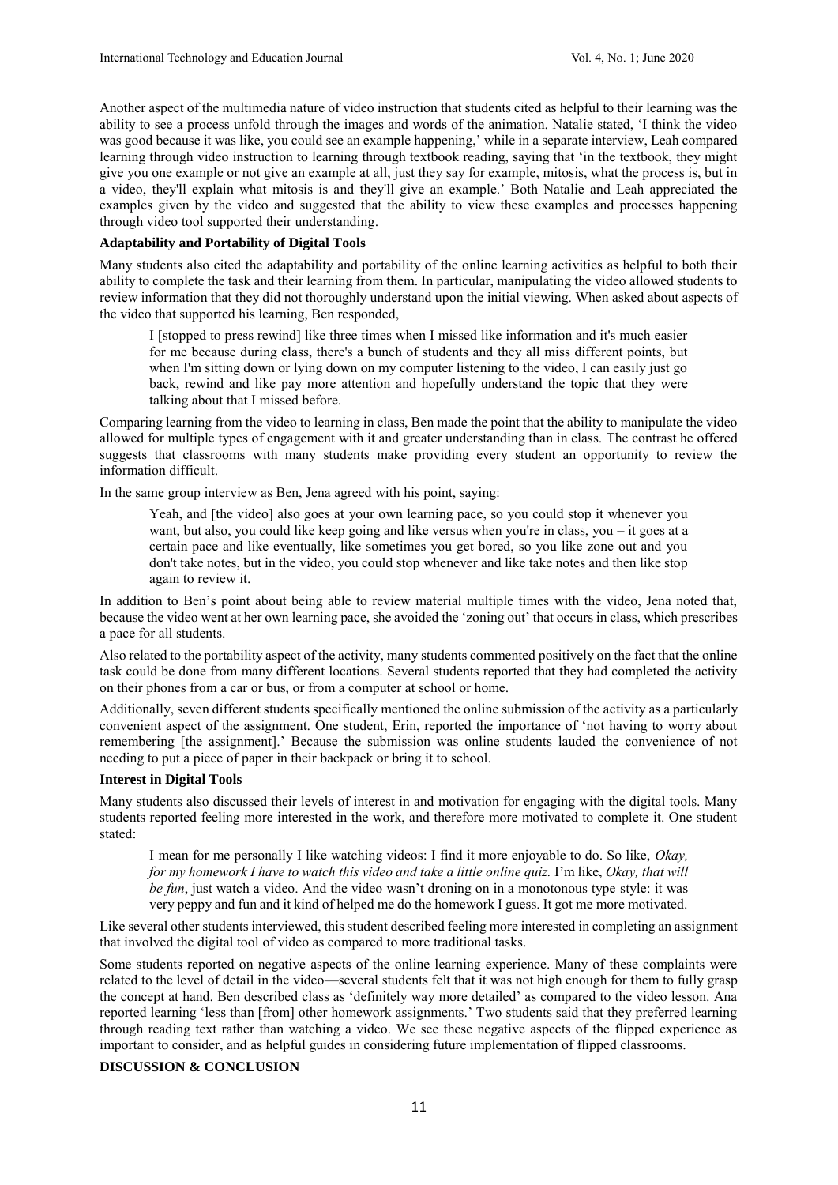Another aspect of the multimedia nature of video instruction that students cited as helpful to their learning was the ability to see a process unfold through the images and words of the animation. Natalie stated, 'I think the video was good because it was like, you could see an example happening,' while in a separate interview, Leah compared learning through video instruction to learning through textbook reading, saying that 'in the textbook, they might give you one example or not give an example at all, just they say for example, mitosis, what the process is, but in a video, they'll explain what mitosis is and they'll give an example.' Both Natalie and Leah appreciated the examples given by the video and suggested that the ability to view these examples and processes happening through video tool supported their understanding.

## **Adaptability and Portability of Digital Tools**

Many students also cited the adaptability and portability of the online learning activities as helpful to both their ability to complete the task and their learning from them. In particular, manipulating the video allowed students to review information that they did not thoroughly understand upon the initial viewing. When asked about aspects of the video that supported his learning, Ben responded,

I [stopped to press rewind] like three times when I missed like information and it's much easier for me because during class, there's a bunch of students and they all miss different points, but when I'm sitting down or lying down on my computer listening to the video, I can easily just go back, rewind and like pay more attention and hopefully understand the topic that they were talking about that I missed before.

Comparing learning from the video to learning in class, Ben made the point that the ability to manipulate the video allowed for multiple types of engagement with it and greater understanding than in class. The contrast he offered suggests that classrooms with many students make providing every student an opportunity to review the information difficult.

In the same group interview as Ben, Jena agreed with his point, saying:

Yeah, and [the video] also goes at your own learning pace, so you could stop it whenever you want, but also, you could like keep going and like versus when you're in class, you – it goes at a certain pace and like eventually, like sometimes you get bored, so you like zone out and you don't take notes, but in the video, you could stop whenever and like take notes and then like stop again to review it.

In addition to Ben's point about being able to review material multiple times with the video, Jena noted that, because the video went at her own learning pace, she avoided the 'zoning out' that occurs in class, which prescribes a pace for all students.

Also related to the portability aspect of the activity, many students commented positively on the fact that the online task could be done from many different locations. Several students reported that they had completed the activity on their phones from a car or bus, or from a computer at school or home.

Additionally, seven different students specifically mentioned the online submission of the activity as a particularly convenient aspect of the assignment. One student, Erin, reported the importance of 'not having to worry about remembering [the assignment].' Because the submission was online students lauded the convenience of not needing to put a piece of paper in their backpack or bring it to school.

## **Interest in Digital Tools**

Many students also discussed their levels of interest in and motivation for engaging with the digital tools. Many students reported feeling more interested in the work, and therefore more motivated to complete it. One student stated:

I mean for me personally I like watching videos: I find it more enjoyable to do. So like, *Okay, for my homework I have to watch this video and take a little online quiz.* I'm like, *Okay, that will be fun*, just watch a video. And the video wasn't droning on in a monotonous type style: it was very peppy and fun and it kind of helped me do the homework I guess. It got me more motivated.

Like several other students interviewed, this student described feeling more interested in completing an assignment that involved the digital tool of video as compared to more traditional tasks.

Some students reported on negative aspects of the online learning experience. Many of these complaints were related to the level of detail in the video—several students felt that it was not high enough for them to fully grasp the concept at hand. Ben described class as 'definitely way more detailed' as compared to the video lesson. Ana reported learning 'less than [from] other homework assignments.' Two students said that they preferred learning through reading text rather than watching a video. We see these negative aspects of the flipped experience as important to consider, and as helpful guides in considering future implementation of flipped classrooms.

## **DISCUSSION & CONCLUSION**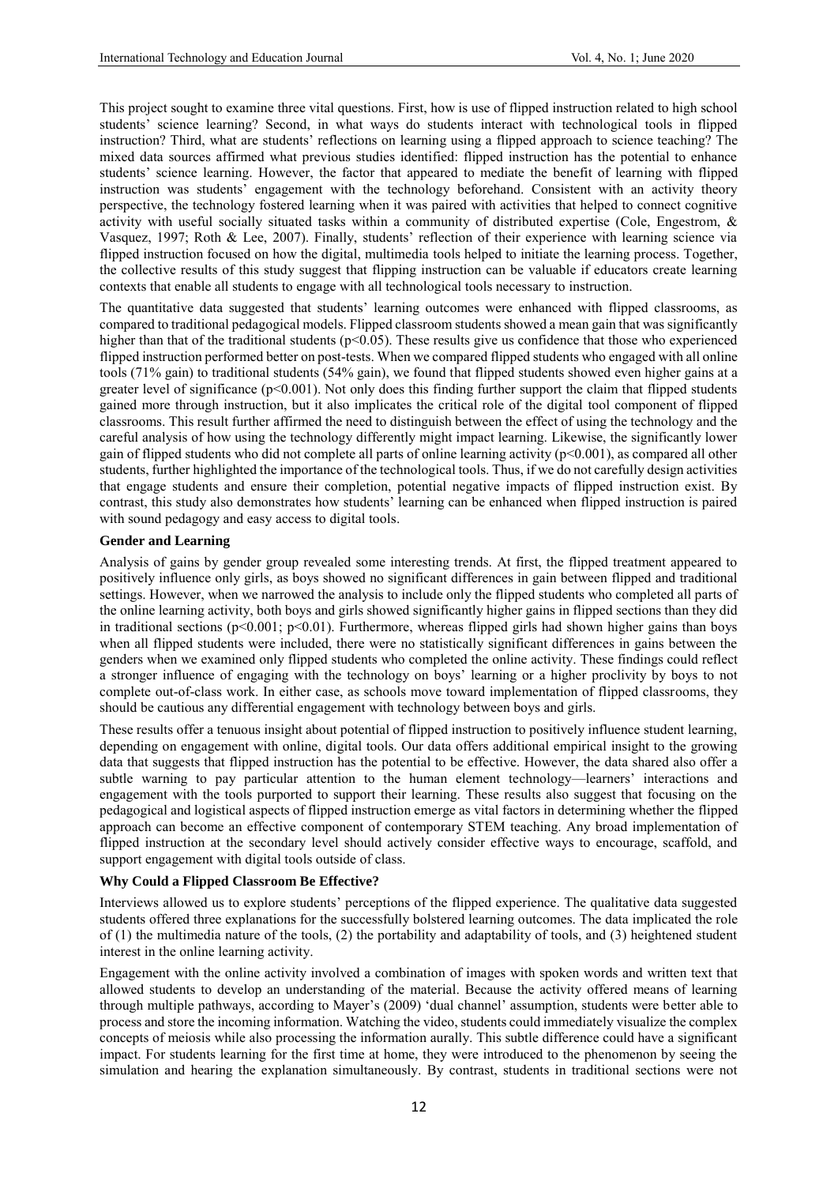This project sought to examine three vital questions. First, how is use of flipped instruction related to high school students' science learning? Second, in what ways do students interact with technological tools in flipped instruction? Third, what are students' reflections on learning using a flipped approach to science teaching? The mixed data sources affirmed what previous studies identified: flipped instruction has the potential to enhance students' science learning. However, the factor that appeared to mediate the benefit of learning with flipped instruction was students' engagement with the technology beforehand. Consistent with an activity theory perspective, the technology fostered learning when it was paired with activities that helped to connect cognitive activity with useful socially situated tasks within a community of distributed expertise (Cole, Engestrom, & Vasquez, 1997; Roth & Lee, 2007). Finally, students' reflection of their experience with learning science via flipped instruction focused on how the digital, multimedia tools helped to initiate the learning process. Together, the collective results of this study suggest that flipping instruction can be valuable if educators create learning contexts that enable all students to engage with all technological tools necessary to instruction.

The quantitative data suggested that students' learning outcomes were enhanced with flipped classrooms, as compared to traditional pedagogical models. Flipped classroom students showed a mean gain that was significantly higher than that of the traditional students ( $p<0.05$ ). These results give us confidence that those who experienced flipped instruction performed better on post-tests. When we compared flipped students who engaged with all online tools (71% gain) to traditional students (54% gain), we found that flipped students showed even higher gains at a greater level of significance  $(p<0.001)$ . Not only does this finding further support the claim that flipped students gained more through instruction, but it also implicates the critical role of the digital tool component of flipped classrooms. This result further affirmed the need to distinguish between the effect of using the technology and the careful analysis of how using the technology differently might impact learning. Likewise, the significantly lower gain of flipped students who did not complete all parts of online learning activity (p<0.001), as compared all other students, further highlighted the importance of the technological tools. Thus, if we do not carefully design activities that engage students and ensure their completion, potential negative impacts of flipped instruction exist. By contrast, this study also demonstrates how students' learning can be enhanced when flipped instruction is paired with sound pedagogy and easy access to digital tools.

## **Gender and Learning**

Analysis of gains by gender group revealed some interesting trends. At first, the flipped treatment appeared to positively influence only girls, as boys showed no significant differences in gain between flipped and traditional settings. However, when we narrowed the analysis to include only the flipped students who completed all parts of the online learning activity, both boys and girls showed significantly higher gains in flipped sections than they did in traditional sections  $(p<0.001; p<0.01)$ . Furthermore, whereas flipped girls had shown higher gains than boys when all flipped students were included, there were no statistically significant differences in gains between the genders when we examined only flipped students who completed the online activity. These findings could reflect a stronger influence of engaging with the technology on boys' learning or a higher proclivity by boys to not complete out-of-class work. In either case, as schools move toward implementation of flipped classrooms, they should be cautious any differential engagement with technology between boys and girls.

These results offer a tenuous insight about potential of flipped instruction to positively influence student learning, depending on engagement with online, digital tools. Our data offers additional empirical insight to the growing data that suggests that flipped instruction has the potential to be effective. However, the data shared also offer a subtle warning to pay particular attention to the human element technology—learners' interactions and engagement with the tools purported to support their learning. These results also suggest that focusing on the pedagogical and logistical aspects of flipped instruction emerge as vital factors in determining whether the flipped approach can become an effective component of contemporary STEM teaching. Any broad implementation of flipped instruction at the secondary level should actively consider effective ways to encourage, scaffold, and support engagement with digital tools outside of class.

## **Why Could a Flipped Classroom Be Effective?**

Interviews allowed us to explore students' perceptions of the flipped experience. The qualitative data suggested students offered three explanations for the successfully bolstered learning outcomes. The data implicated the role of  $(1)$  the multimedia nature of the tools,  $(2)$  the portability and adaptability of tools, and  $(3)$  heightened student interest in the online learning activity.

Engagement with the online activity involved a combination of images with spoken words and written text that allowed students to develop an understanding of the material. Because the activity offered means of learning through multiple pathways, according to Mayer's (2009) 'dual channel' assumption, students were better able to process and store the incoming information. Watching the video, students could immediately visualize the complex concepts of meiosis while also processing the information aurally. This subtle difference could have a significant impact. For students learning for the first time at home, they were introduced to the phenomenon by seeing the simulation and hearing the explanation simultaneously. By contrast, students in traditional sections were not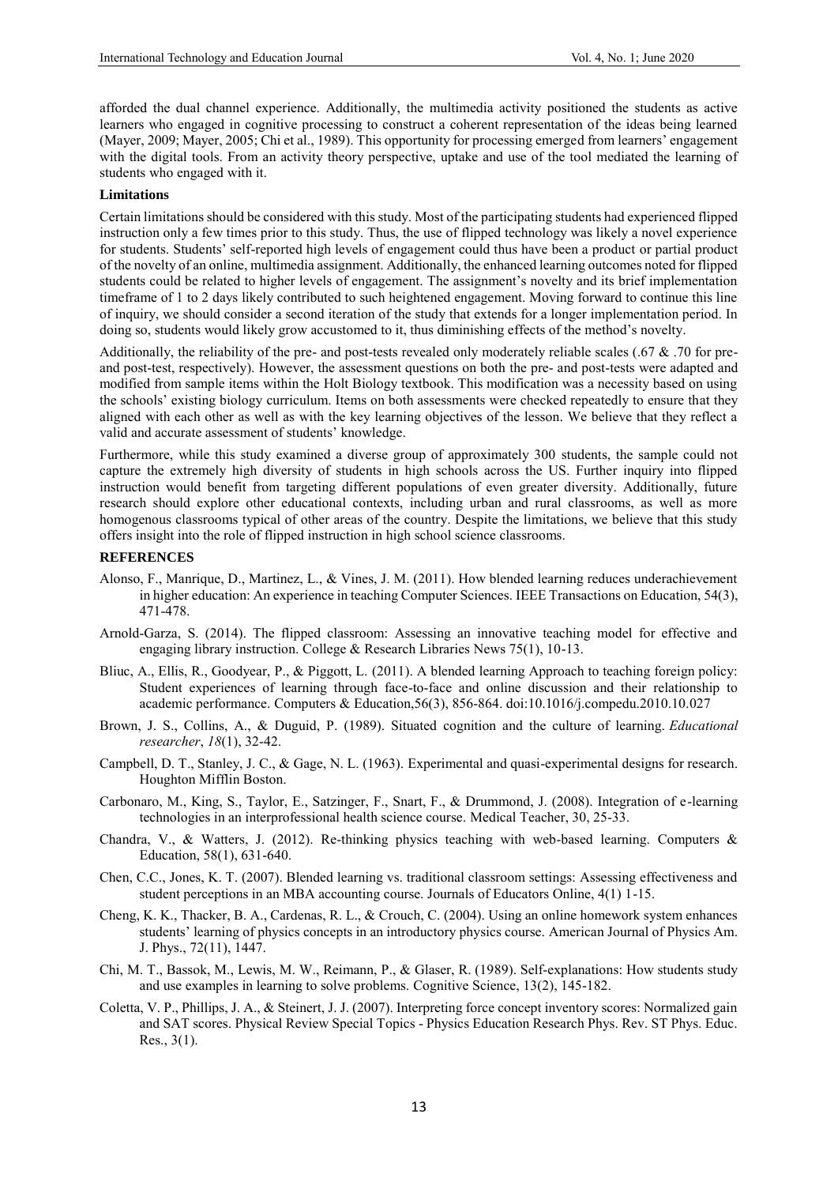afforded the dual channel experience. Additionally, the multimedia activity positioned the students as active learners who engaged in cognitive processing to construct a coherent representation of the ideas being learned (Mayer, 2009; Mayer, 2005; Chi et al., 1989). This opportunity for processing emerged from learners' engagement with the digital tools. From an activity theory perspective, uptake and use of the tool mediated the learning of students who engaged with it.

## **Limitations**

Certain limitations should be considered with this study. Most of the participating students had experienced flipped instruction only a few times prior to this study. Thus, the use of flipped technology was likely a novel experience for students. Students' self-reported high levels of engagement could thus have been a product or partial product of the novelty of an online, multimedia assignment. Additionally, the enhanced learning outcomes noted for flipped students could be related to higher levels of engagement. The assignment's novelty and its brief implementation timeframe of 1 to 2 days likely contributed to such heightened engagement. Moving forward to continue this line of inquiry, we should consider a second iteration of the study that extends for a longer implementation period. In doing so, students would likely grow accustomed to it, thus diminishing effects of the method's novelty.

Additionally, the reliability of the pre- and post-tests revealed only moderately reliable scales (.67  $\&$  .70 for preand post-test, respectively). However, the assessment questions on both the pre- and post-tests were adapted and modified from sample items within the Holt Biology textbook. This modification was a necessity based on using the schools' existing biology curriculum. Items on both assessments were checked repeatedly to ensure that they aligned with each other as well as with the key learning objectives of the lesson. We believe that they reflect a valid and accurate assessment of students' knowledge.

Furthermore, while this study examined a diverse group of approximately 300 students, the sample could not capture the extremely high diversity of students in high schools across the US. Further inquiry into flipped instruction would benefit from targeting different populations of even greater diversity. Additionally, future research should explore other educational contexts, including urban and rural classrooms, as well as more homogenous classrooms typical of other areas of the country. Despite the limitations, we believe that this study offers insight into the role of flipped instruction in high school science classrooms.

#### **REFERENCES**

- Alonso, F., Manrique, D., Martinez, L., & Vines, J. M. (2011). How blended learning reduces underachievement in higher education: An experience in teaching Computer Sciences. IEEE Transactions on Education, 54(3), 471-478.
- Arnold-Garza, S. (2014). The flipped classroom: Assessing an innovative teaching model for effective and engaging library instruction. College & Research Libraries News 75(1), 10-13.
- Bliuc, A., Ellis, R., Goodyear, P., & Piggott, L. (2011). A blended learning Approach to teaching foreign policy: Student experiences of learning through face-to-face and online discussion and their relationship to academic performance. Computers & Education,56(3), 856-864. doi:10.1016/j.compedu.2010.10.027
- Brown, J. S., Collins, A., & Duguid, P. (1989). Situated cognition and the culture of learning. *Educational researcher*, *18*(1), 32-42.
- Campbell, D. T., Stanley, J. C., & Gage, N. L. (1963). Experimental and quasi-experimental designs for research. Houghton Mifflin Boston.
- Carbonaro, M., King, S., Taylor, E., Satzinger, F., Snart, F., & Drummond, J. (2008). Integration of e-learning technologies in an interprofessional health science course. Medical Teacher, 30, 25-33.
- Chandra, V., & Watters, J. (2012). Re-thinking physics teaching with web-based learning. Computers & Education, 58(1), 631-640.
- Chen, C.C., Jones, K. T. (2007). Blended learning vs. traditional classroom settings: Assessing effectiveness and student perceptions in an MBA accounting course. Journals of Educators Online, 4(1) 1-15.
- Cheng, K. K., Thacker, B. A., Cardenas, R. L., & Crouch, C. (2004). Using an online homework system enhances students' learning of physics concepts in an introductory physics course. American Journal of Physics Am. J. Phys., 72(11), 1447.
- Chi, M. T., Bassok, M., Lewis, M. W., Reimann, P., & Glaser, R. (1989). Self-explanations: How students study and use examples in learning to solve problems. Cognitive Science, 13(2), 145-182.
- Coletta, V. P., Phillips, J. A., & Steinert, J. J. (2007). Interpreting force concept inventory scores: Normalized gain and SAT scores. Physical Review Special Topics - Physics Education Research Phys. Rev. ST Phys. Educ. Res., 3(1).